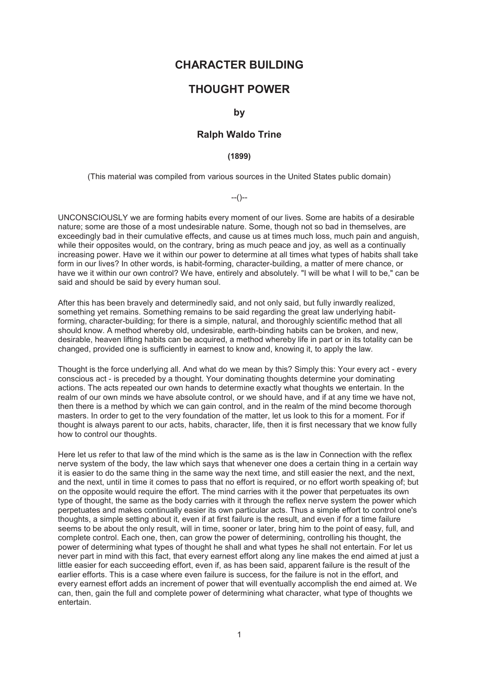# **CHARACTER BUILDING**

# **THOUGHT POWER**

### **by**

### **Ralph Waldo Trine**

### **(1899)**

(This material was compiled from various sources in the United States public domain)

--()--

UNCONSCIOUSLY we are forming habits every moment of our lives. Some are habits of a desirable nature; some are those of a most undesirable nature. Some, though not so bad in themselves, are exceedingly bad in their cumulative effects, and cause us at times much loss, much pain and anguish, while their opposites would, on the contrary, bring as much peace and joy, as well as a continually increasing power. Have we it within our power to determine at all times what types of habits shall take form in our lives? In other words, is habit-forming, character-building, a matter of mere chance, or have we it within our own control? We have, entirely and absolutely. "I will be what I will to be," can be said and should be said by every human soul.

After this has been bravely and determinedly said, and not only said, but fully inwardly realized, something yet remains. Something remains to be said regarding the great law underlying habitforming, character-building; for there is a simple, natural, and thoroughly scientific method that all should know. A method whereby old, undesirable, earth-binding habits can be broken, and new, desirable, heaven lifting habits can be acquired, a method whereby life in part or in its totality can be changed, provided one is sufficiently in earnest to know and, knowing it, to apply the law.

Thought is the force underlying all. And what do we mean by this? Simply this: Your every act - every conscious act - is preceded by a thought. Your dominating thoughts determine your dominating actions. The acts repeated our own hands to determine exactly what thoughts we entertain. In the realm of our own minds we have absolute control, or we should have, and if at any time we have not, then there is a method by which we can gain control, and in the realm of the mind become thorough masters. In order to get to the very foundation of the matter, let us look to this for a moment. For if thought is always parent to our acts, habits, character, life, then it is first necessary that we know fully how to control our thoughts.

Here let us refer to that law of the mind which is the same as is the law in Connection with the reflex nerve system of the body, the law which says that whenever one does a certain thing in a certain way it is easier to do the same thing in the same way the next time, and still easier the next, and the next, and the next, until in time it comes to pass that no effort is required, or no effort worth speaking of; but on the opposite would require the effort. The mind carries with it the power that perpetuates its own type of thought, the same as the body carries with it through the reflex nerve system the power which perpetuates and makes continually easier its own particular acts. Thus a simple effort to control one's thoughts, a simple setting about it, even if at first failure is the result, and even if for a time failure seems to be about the only result, will in time, sooner or later, bring him to the point of easy, full, and complete control. Each one, then, can grow the power of determining, controlling his thought, the power of determining what types of thought he shall and what types he shall not entertain. For let us never part in mind with this fact, that every earnest effort along any line makes the end aimed at just a little easier for each succeeding effort, even if, as has been said, apparent failure is the result of the earlier efforts. This is a case where even failure is success, for the failure is not in the effort, and every earnest effort adds an increment of power that will eventually accomplish the end aimed at. We can, then, gain the full and complete power of determining what character, what type of thoughts we entertain.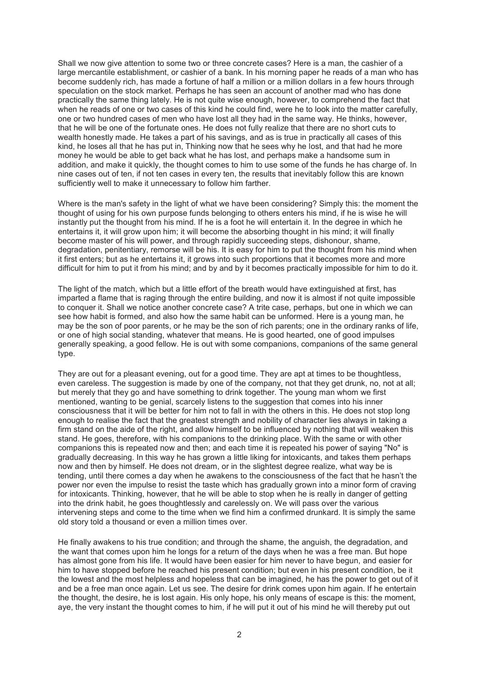Shall we now give attention to some two or three concrete cases? Here is a man, the cashier of a large mercantile establishment, or cashier of a bank. In his morning paper he reads of a man who has become suddenly rich, has made a fortune of half a million or a million dollars in a few hours through speculation on the stock market. Perhaps he has seen an account of another mad who has done practically the same thing lately. He is not quite wise enough, however, to comprehend the fact that when he reads of one or two cases of this kind he could find, were he to look into the matter carefully, one or two hundred cases of men who have lost all they had in the same way. He thinks, however, that he will be one of the fortunate ones. He does not fully realize that there are no short cuts to wealth honestly made. He takes a part of his savings, and as is true in practically all cases of this kind, he loses all that he has put in, Thinking now that he sees why he lost, and that had he more money he would be able to get back what he has lost, and perhaps make a handsome sum in addition, and make it quickly, the thought comes to him to use some of the funds he has charge of. In nine cases out of ten, if not ten cases in every ten, the results that inevitably follow this are known sufficiently well to make it unnecessary to follow him farther.

Where is the man's safety in the light of what we have been considering? Simply this: the moment the thought of using for his own purpose funds belonging to others enters his mind, if he is wise he will instantly put the thought from his mind. If he is a foot he will entertain it. In the degree in which he entertains it, it will grow upon him; it will become the absorbing thought in his mind; it will finally become master of his will power, and through rapidly succeeding steps, dishonour, shame, degradation, penitentiary, remorse will be his. It is easy for him to put the thought from his mind when it first enters; but as he entertains it, it grows into such proportions that it becomes more and more difficult for him to put it from his mind; and by and by it becomes practically impossible for him to do it.

The light of the match, which but a little effort of the breath would have extinguished at first, has imparted a flame that is raging through the entire building, and now it is almost if not quite impossible to conquer it. Shall we notice another concrete case? A trite case, perhaps, but one in which we can see how habit is formed, and also how the same habit can be unformed. Here is a young man, he may be the son of poor parents, or he may be the son of rich parents; one in the ordinary ranks of life, or one of high social standing, whatever that means. He is good hearted, one of good impulses generally speaking, a good fellow. He is out with some companions, companions of the same general type.

They are out for a pleasant evening, out for a good time. They are apt at times to be thoughtless, even careless. The suggestion is made by one of the company, not that they get drunk, no, not at all: but merely that they go and have something to drink together. The young man whom we first mentioned, wanting to be genial, scarcely listens to the suggestion that comes into his inner consciousness that it will be better for him not to fall in with the others in this. He does not stop long enough to realise the fact that the greatest strength and nobility of character lies always in taking a firm stand on the aide of the right, and allow himself to be influenced by nothing that will weaken this stand. He goes, therefore, with his companions to the drinking place. With the same or with other companions this is repeated now and then; and each time it is repeated his power of saying "No" is gradually decreasing. In this way he has grown a little liking for intoxicants, and takes them perhaps now and then by himself. He does not dream, or in the slightest degree realize, what way be is tending, until there comes a day when he awakens to the consciousness of the fact that he hasn't the power nor even the impulse to resist the taste which has gradually grown into a minor form of craving for intoxicants. Thinking, however, that he will be able to stop when he is really in danger of getting into the drink habit, he goes thoughtlessly and carelessly on. We will pass over the various intervening steps and come to the time when we find him a confirmed drunkard. It is simply the same old story told a thousand or even a million times over.

He finally awakens to his true condition; and through the shame, the anguish, the degradation, and the want that comes upon him he longs for a return of the days when he was a free man. But hope has almost gone from his life. It would have been easier for him never to have begun, and easier for him to have stopped before he reached his present condition; but even in his present condition, be it the lowest and the most helpless and hopeless that can be imagined, he has the power to get out of it and be a free man once again. Let us see. The desire for drink comes upon him again. If he entertain the thought, the desire, he is lost again. His only hope, his only means of escape is this: the moment, aye, the very instant the thought comes to him, if he will put it out of his mind he will thereby put out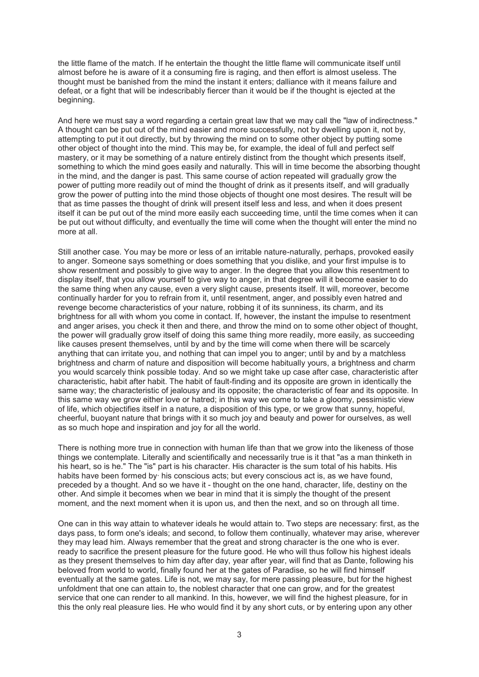the little flame of the match. If he entertain the thought the little flame will communicate itself until almost before he is aware of it a consuming fire is raging, and then effort is almost useless. The thought must be banished from the mind the instant it enters; dalliance with it means failure and defeat, or a fight that will be indescribably fiercer than it would be if the thought is ejected at the beginning.

And here we must say a word regarding a certain great law that we may call the "law of indirectness." A thought can be put out of the mind easier and more successfully, not by dwelling upon it, not by, attempting to put it out directly, but by throwing the mind on to some other object by putting some other object of thought into the mind. This may be, for example, the ideal of full and perfect self mastery, or it may be something of a nature entirely distinct from the thought which presents itself, something to which the mind goes easily and naturally. This will in time become the absorbing thought in the mind, and the danger is past. This same course of action repeated will gradually grow the power of putting more readily out of mind the thought of drink as it presents itself, and will gradually grow the power of putting into the mind those objects of thought one most desires. The result will be that as time passes the thought of drink will present itself less and less, and when it does present itself it can be put out of the mind more easily each succeeding time, until the time comes when it can be put out without difficulty, and eventually the time will come when the thought will enter the mind no more at all.

Still another case. You may be more or less of an irritable nature-naturally, perhaps, provoked easily to anger. Someone says something or does something that you dislike, and your first impulse is to show resentment and possibly to give way to anger. In the degree that you allow this resentment to display itself, that you allow yourself to give way to anger, in that degree will it become easier to do the same thing when any cause, even a very slight cause, presents itself. It will, moreover, become continually harder for you to refrain from it, until resentment, anger, and possibly even hatred and revenge become characteristics of your nature, robbing it of its sunniness, its charm, and its brightness for all with whom you come in contact. If, however, the instant the impulse to resentment and anger arises, you check it then and there, and throw the mind on to some other object of thought, the power will gradually grow itself of doing this same thing more readily, more easily, as succeeding like causes present themselves, until by and by the time will come when there will be scarcely anything that can irritate you, and nothing that can impel you to anger; until by and by a matchless brightness and charm of nature and disposition will become habitually yours, a brightness and charm you would scarcely think possible today. And so we might take up case after case, characteristic after characteristic, habit after habit. The habit of fault-finding and its opposite are grown in identically the same way; the characteristic of jealousy and its opposite; the characteristic of fear and its opposite. In this same way we grow either love or hatred; in this way we come to take a gloomy, pessimistic view of life, which objectifies itself in a nature, a disposition of this type, or we grow that sunny, hopeful, cheerful, buoyant nature that brings with it so much joy and beauty and power for ourselves, as well as so much hope and inspiration and joy for all the world.

There is nothing more true in connection with human life than that we grow into the likeness of those things we contemplate. Literally and scientifically and necessarily true is it that "as a man thinketh in his heart, so is he." The "is" part is his character. His character is the sum total of his habits. His habits have been formed by his conscious acts; but every conscious act is, as we have found, preceded by a thought. And so we have it - thought on the one hand, character, life, destiny on the other. And simple it becomes when we bear in mind that it is simply the thought of the present moment, and the next moment when it is upon us, and then the next, and so on through all time.

One can in this way attain to whatever ideals he would attain to. Two steps are necessary: first, as the days pass, to form one's ideals; and second, to follow them continually, whatever may arise, wherever they may lead him. Always remember that the great and strong character is the one who is ever. ready to sacrifice the present pleasure for the future good. He who will thus follow his highest ideals as they present themselves to him day after day, year after year, will find that as Dante, following his beloved from world to world, finally found her at the gates of Paradise, so he will find himself eventually at the same gates. Life is not, we may say, for mere passing pleasure, but for the highest unfoldment that one can attain to, the noblest character that one can grow, and for the greatest service that one can render to all mankind. In this, however, we will find the highest pleasure, for in this the only real pleasure lies. He who would find it by any short cuts, or by entering upon any other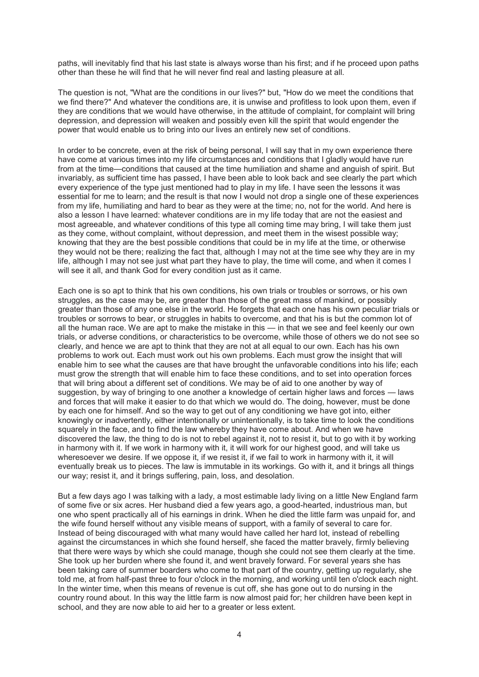paths, will inevitably find that his last state is always worse than his first; and if he proceed upon paths other than these he will find that he will never find real and lasting pleasure at all.

The question is not, "What are the conditions in our lives?" but, "How do we meet the conditions that we find there?" And whatever the conditions are, it is unwise and profitless to look upon them, even if they are conditions that we would have otherwise, in the attitude of complaint, for complaint will bring depression, and depression will weaken and possibly even kill the spirit that would engender the power that would enable us to bring into our lives an entirely new set of conditions.

In order to be concrete, even at the risk of being personal, I will say that in my own experience there have come at various times into my life circumstances and conditions that I gladly would have run from at the time—conditions that caused at the time humiliation and shame and anguish of spirit. But invariably, as sufficient time has passed, I have been able to look back and see clearly the part which every experience of the type just mentioned had to play in my life. I have seen the lessons it was essential for me to learn; and the result is that now I would not drop a single one of these experiences from my life, humiliating and hard to bear as they were at the time; no, not for the world. And here is also a lesson I have learned: whatever conditions are in my life today that are not the easiest and most agreeable, and whatever conditions of this type all coming time may bring, I will take them just as they come, without complaint, without depression, and meet them in the wisest possible way; knowing that they are the best possible conditions that could be in my life at the time, or otherwise they would not be there; realizing the fact that, although I may not at the time see why they are in my life, although I may not see just what part they have to play, the time will come, and when it comes I will see it all, and thank God for every condition just as it came.

Each one is so apt to think that his own conditions, his own trials or troubles or sorrows, or his own struggles, as the case may be, are greater than those of the great mass of mankind, or possibly greater than those of any one else in the world. He forgets that each one has his own peculiar trials or troubles or sorrows to bear, or struggles in habits to overcome, and that his is but the common lot of all the human race. We are apt to make the mistake in this — in that we see and feel keenly our own trials, or adverse conditions, or characteristics to be overcome, while those of others we do not see so clearly, and hence we are apt to think that they are not at all equal to our own. Each has his own problems to work out. Each must work out his own problems. Each must grow the insight that will enable him to see what the causes are that have brought the unfavorable conditions into his life; each must grow the strength that will enable him to face these conditions, and to set into operation forces that will bring about a different set of conditions. We may be of aid to one another by way of suggestion, by way of bringing to one another a knowledge of certain higher laws and forces — laws and forces that will make it easier to do that which we would do. The doing, however, must be done by each one for himself. And so the way to get out of any conditioning we have got into, either knowingly or inadvertently, either intentionally or unintentionally, is to take time to look the conditions squarely in the face, and to find the law whereby they have come about. And when we have discovered the law, the thing to do is not to rebel against it, not to resist it, but to go with it by working in harmony with it. If we work in harmony with it, it will work for our highest good, and will take us wheresoever we desire. If we oppose it, if we resist it, if we fail to work in harmony with it, it will eventually break us to pieces. The law is immutable in its workings. Go with it, and it brings all things our way; resist it, and it brings suffering, pain, loss, and desolation.

But a few days ago I was talking with a lady, a most estimable lady living on a little New England farm of some five or six acres. Her husband died a few years ago, a good-hearted, industrious man, but one who spent practically all of his earnings in drink. When he died the little farm was unpaid for, and the wife found herself without any visible means of support, with a family of several to care for. Instead of being discouraged with what many would have called her hard lot, instead of rebelling against the circumstances in which she found herself, she faced the matter bravely, firmly believing that there were ways by which she could manage, though she could not see them clearly at the time. She took up her burden where she found it, and went bravely forward. For several years she has been taking care of summer boarders who come to that part of the country, getting up regularly, she told me, at from half-past three to four o'clock in the morning, and working until ten o'clock each night. In the winter time, when this means of revenue is cut off, she has gone out to do nursing in the country round about. In this way the little farm is now almost paid for; her children have been kept in school, and they are now able to aid her to a greater or less extent.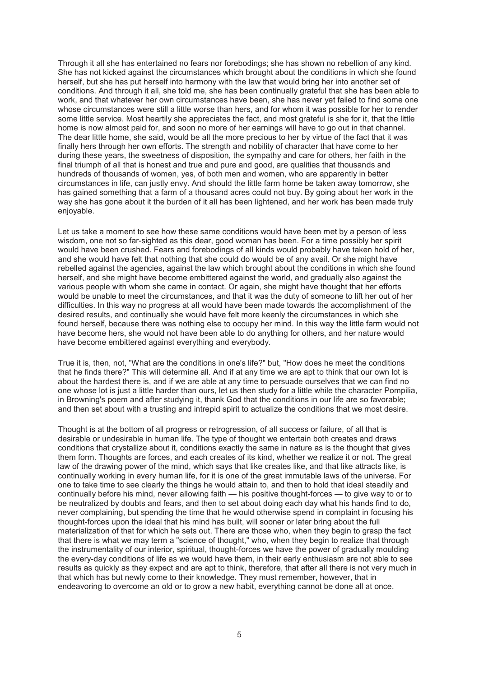Through it all she has entertained no fears nor forebodings; she has shown no rebellion of any kind. She has not kicked against the circumstances which brought about the conditions in which she found herself, but she has put herself into harmony with the law that would bring her into another set of conditions. And through it all, she told me, she has been continually grateful that she has been able to work, and that whatever her own circumstances have been, she has never yet failed to find some one whose circumstances were still a little worse than hers, and for whom it was possible for her to render some little service. Most heartily she appreciates the fact, and most grateful is she for it, that the little home is now almost paid for, and soon no more of her earnings will have to go out in that channel. The dear little home, she said, would be all the more precious to her by virtue of the fact that it was finally hers through her own efforts. The strength and nobility of character that have come to her during these years, the sweetness of disposition, the sympathy and care for others, her faith in the final triumph of all that is honest and true and pure and good, are qualities that thousands and hundreds of thousands of women, yes, of both men and women, who are apparently in better circumstances in life, can justly envy. And should the little farm home be taken away tomorrow, she has gained something that a farm of a thousand acres could not buy. By going about her work in the way she has gone about it the burden of it all has been lightened, and her work has been made truly enjoyable.

Let us take a moment to see how these same conditions would have been met by a person of less wisdom, one not so far-sighted as this dear, good woman has been. For a time possibly her spirit would have been crushed. Fears and forebodings of all kinds would probably have taken hold of her, and she would have felt that nothing that she could do would be of any avail. Or she might have rebelled against the agencies, against the law which brought about the conditions in which she found herself, and she might have become embittered against the world, and gradually also against the various people with whom she came in contact. Or again, she might have thought that her efforts would be unable to meet the circumstances, and that it was the duty of someone to lift her out of her difficulties. In this way no progress at all would have been made towards the accomplishment of the desired results, and continually she would have felt more keenly the circumstances in which she found herself, because there was nothing else to occupy her mind. In this way the little farm would not have become hers, she would not have been able to do anything for others, and her nature would have become embittered against everything and everybody.

True it is, then, not, "What are the conditions in one's life?" but, "How does he meet the conditions that he finds there?" This will determine all. And if at any time we are apt to think that our own lot is about the hardest there is, and if we are able at any time to persuade ourselves that we can find no one whose lot is just a little harder than ours, let us then study for a little while the character Pompilia, in Browning's poem and after studying it, thank God that the conditions in our life are so favorable; and then set about with a trusting and intrepid spirit to actualize the conditions that we most desire.

Thought is at the bottom of all progress or retrogression, of all success or failure, of all that is desirable or undesirable in human life. The type of thought we entertain both creates and draws conditions that crystallize about it, conditions exactly the same in nature as is the thought that gives them form. Thoughts are forces, and each creates of its kind, whether we realize it or not. The great law of the drawing power of the mind, which says that like creates like, and that like attracts like, is continually working in every human life, for it is one of the great immutable laws of the universe. For one to take time to see clearly the things he would attain to, and then to hold that ideal steadily and continually before his mind, never allowing faith — his positive thought-forces — to give way to or to be neutralized by doubts and fears, and then to set about doing each day what his hands find to do, never complaining, but spending the time that he would otherwise spend in complaint in focusing his thought-forces upon the ideal that his mind has built, will sooner or later bring about the full materialization of that for which he sets out. There are those who, when they begin to grasp the fact that there is what we may term a "science of thought," who, when they begin to realize that through the instrumentality of our interior, spiritual, thought-forces we have the power of gradually moulding the every-day conditions of life as we would have them, in their early enthusiasm are not able to see results as quickly as they expect and are apt to think, therefore, that after all there is not very much in that which has but newly come to their knowledge. They must remember, however, that in endeavoring to overcome an old or to grow a new habit, everything cannot be done all at once.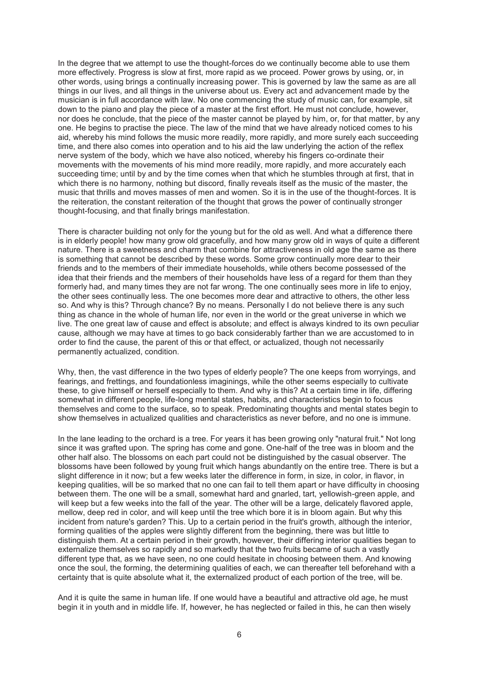In the degree that we attempt to use the thought-forces do we continually become able to use them more effectively. Progress is slow at first, more rapid as we proceed. Power grows by using, or, in other words, using brings a continually increasing power. This is governed by law the same as are all things in our lives, and all things in the universe about us. Every act and advancement made by the musician is in full accordance with law. No one commencing the study of music can, for example, sit down to the piano and play the piece of a master at the first effort. He must not conclude, however, nor does he conclude, that the piece of the master cannot be played by him, or, for that matter, by any one. He begins to practise the piece. The law of the mind that we have already noticed comes to his aid, whereby his mind follows the music more readily, more rapidly, and more surely each succeeding time, and there also comes into operation and to his aid the law underlying the action of the reflex nerve system of the body, which we have also noticed, whereby his fingers co-ordinate their movements with the movements of his mind more readily, more rapidly, and more accurately each succeeding time; until by and by the time comes when that which he stumbles through at first, that in which there is no harmony, nothing but discord, finally reveals itself as the music of the master, the music that thrills and moves masses of men and women. So it is in the use of the thought-forces. It is the reiteration, the constant reiteration of the thought that grows the power of continually stronger thought-focusing, and that finally brings manifestation.

There is character building not only for the young but for the old as well. And what a difference there is in elderly people! how many grow old gracefully, and how many grow old in ways of quite a different nature. There is a sweetness and charm that combine for attractiveness in old age the same as there is something that cannot be described by these words. Some grow continually more dear to their friends and to the members of their immediate households, while others become possessed of the idea that their friends and the members of their households have less of a regard for them than they formerly had, and many times they are not far wrong. The one continually sees more in life to enjoy, the other sees continually less. The one becomes more dear and attractive to others, the other less so. And why is this? Through chance? By no means. Personally I do not believe there is any such thing as chance in the whole of human life, nor even in the world or the great universe in which we live. The one great law of cause and effect is absolute; and effect is always kindred to its own peculiar cause, although we may have at times to go back considerably farther than we are accustomed to in order to find the cause, the parent of this or that effect, or actualized, though not necessarily permanently actualized, condition.

Why, then, the vast difference in the two types of elderly people? The one keeps from worryings, and fearings, and frettings, and foundationless imaginings, while the other seems especially to cultivate these, to give himself or herself especially to them. And why is this? At a certain time in life, differing somewhat in different people, life-long mental states, habits, and characteristics begin to focus themselves and come to the surface, so to speak. Predominating thoughts and mental states begin to show themselves in actualized qualities and characteristics as never before, and no one is immune.

In the lane leading to the orchard is a tree. For years it has been growing only "natural fruit." Not long since it was grafted upon. The spring has come and gone. One-half of the tree was in bloom and the other half also. The blossoms on each part could not be distinguished by the casual observer. The blossoms have been followed by young fruit which hangs abundantly on the entire tree. There is but a slight difference in it now; but a few weeks later the difference in form, in size, in color, in flavor, in keeping qualities, will be so marked that no one can fail to tell them apart or have difficulty in choosing between them. The one will be a small, somewhat hard and gnarled, tart, yellowish-green apple, and will keep but a few weeks into the fall of the year. The other will be a large, delicately flavored apple, mellow, deep red in color, and will keep until the tree which bore it is in bloom again. But why this incident from nature's garden? This. Up to a certain period in the fruit's growth, although the interior, forming qualities of the apples were slightly different from the beginning, there was but little to distinguish them. At a certain period in their growth, however, their differing interior qualities began to externalize themselves so rapidly and so markedly that the two fruits became of such a vastly different type that, as we have seen, no one could hesitate in choosing between them. And knowing once the soul, the forming, the determining qualities of each, we can thereafter tell beforehand with a certainty that is quite absolute what it, the externalized product of each portion of the tree, will be.

And it is quite the same in human life. If one would have a beautiful and attractive old age, he must begin it in youth and in middle life. If, however, he has neglected or failed in this, he can then wisely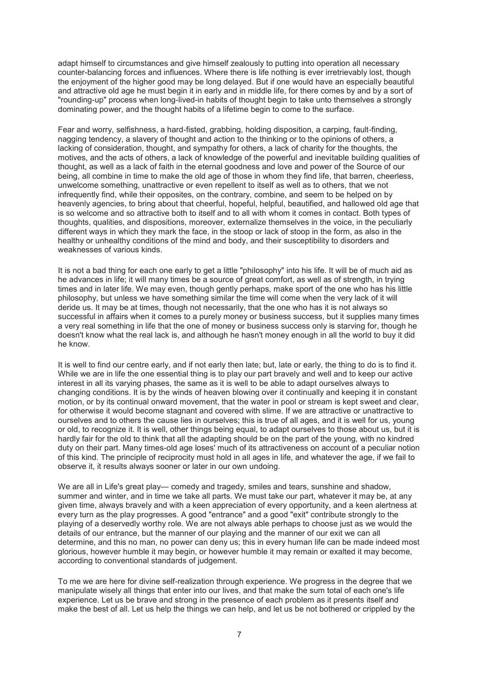adapt himself to circumstances and give himself zealously to putting into operation all necessary counter-balancing forces and influences. Where there is life nothing is ever irretrievably lost, though the enjoyment of the higher good may be long delayed. But if one would have an especially beautiful and attractive old age he must begin it in early and in middle life, for there comes by and by a sort of "rounding-up" process when long-lived-in habits of thought begin to take unto themselves a strongly dominating power, and the thought habits of a lifetime begin to come to the surface.

Fear and worry, selfishness, a hard-fisted, grabbing, holding disposition, a carping, fault-finding, nagging tendency, a slavery of thought and action to the thinking or to the opinions of others, a lacking of consideration, thought, and sympathy for others, a lack of charity for the thoughts, the motives, and the acts of others, a lack of knowledge of the powerful and inevitable building qualities of thought, as well as a lack of faith in the eternal goodness and love and power of the Source of our being, all combine in time to make the old age of those in whom they find life, that barren, cheerless, unwelcome something, unattractive or even repellent to itself as well as to others, that we not infrequently find, while their opposites, on the contrary, combine, and seem to be helped on by heavenly agencies, to bring about that cheerful, hopeful, helpful, beautified, and hallowed old age that is so welcome and so attractive both to itself and to all with whom it comes in contact. Both types of thoughts, qualities, and dispositions, moreover, externalize themselves in the voice, in the peculiarly different ways in which they mark the face, in the stoop or lack of stoop in the form, as also in the healthy or unhealthy conditions of the mind and body, and their susceptibility to disorders and weaknesses of various kinds.

It is not a bad thing for each one early to get a little "philosophy" into his life. It will be of much aid as he advances in life; it will many times be a source of great comfort, as well as of strength, in trying times and in later life. We may even, though gently perhaps, make sport of the one who has his little philosophy, but unless we have something similar the time will come when the very lack of it will deride us. It may be at times, though not necessarily, that the one who has it is not always so successful in affairs when it comes to a purely money or business success, but it supplies many times a very real something in life that the one of money or business success only is starving for, though he doesn't know what the real lack is, and although he hasn't money enough in all the world to buy it did he know.

It is well to find our centre early, and if not early then late; but, late or early, the thing to do is to find it. While we are in life the one essential thing is to play our part bravely and well and to keep our active interest in all its varying phases, the same as it is well to be able to adapt ourselves always to changing conditions. It is by the winds of heaven blowing over it continually and keeping it in constant motion, or by its continual onward movement, that the water in pool or stream is kept sweet and clear, for otherwise it would become stagnant and covered with slime. If we are attractive or unattractive to ourselves and to others the cause lies in ourselves; this is true of all ages, and it is well for us, young or old, to recognize it. It is well, other things being equal, to adapt ourselves to those about us, but it is hardly fair for the old to think that all the adapting should be on the part of the young, with no kindred duty on their part. Many times-old age loses' much of its attractiveness on account of a peculiar notion of this kind. The principle of reciprocity must hold in all ages in life, and whatever the age, if we fail to observe it, it results always sooner or later in our own undoing.

We are all in Life's great play— comedy and tragedy, smiles and tears, sunshine and shadow, summer and winter, and in time we take all parts. We must take our part, whatever it may be, at any given time, always bravely and with a keen appreciation of every opportunity, and a keen alertness at every turn as the play progresses. A good "entrance" and a good "exit" contribute strongly to the playing of a deservedly worthy role. We are not always able perhaps to choose just as we would the details of our entrance, but the manner of our playing and the manner of our exit we can all determine, and this no man, no power can deny us; this in every human life can be made indeed most glorious, however humble it may begin, or however humble it may remain or exalted it may become, according to conventional standards of judgement.

To me we are here for divine self-realization through experience. We progress in the degree that we manipulate wisely all things that enter into our lives, and that make the sum total of each one's life experience. Let us be brave and strong in the presence of each problem as it presents itself and make the best of all. Let us help the things we can help, and let us be not bothered or crippled by the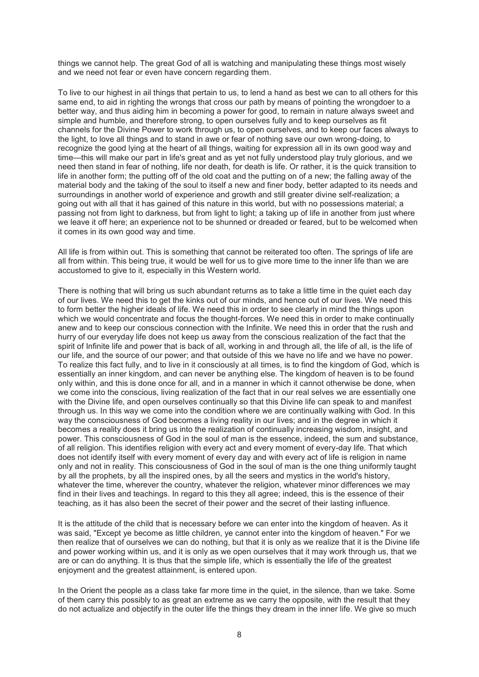things we cannot help. The great God of all is watching and manipulating these things most wisely and we need not fear or even have concern regarding them.

To live to our highest in ail things that pertain to us, to lend a hand as best we can to all others for this same end, to aid in righting the wrongs that cross our path by means of pointing the wrongdoer to a better way, and thus aiding him in becoming a power for good, to remain in nature always sweet and simple and humble, and therefore strong, to open ourselves fully and to keep ourselves as fit channels for the Divine Power to work through us, to open ourselves, and to keep our faces always to the light, to love all things and to stand in awe or fear of nothing save our own wrong-doing, to recognize the good lying at the heart of all things, waiting for expression all in its own good way and time—this will make our part in life's great and as yet not fully understood play truly glorious, and we need then stand in fear of nothing, life nor death, for death is life. Or rather, it is the quick transition to life in another form; the putting off of the old coat and the putting on of a new; the falling away of the material body and the taking of the soul to itself a new and finer body, better adapted to its needs and surroundings in another world of experience and growth and still greater divine self-realization; a going out with all that it has gained of this nature in this world, but with no possessions material; a passing not from light to darkness, but from light to light; a taking up of life in another from just where we leave it off here; an experience not to be shunned or dreaded or feared, but to be welcomed when it comes in its own good way and time.

All life is from within out. This is something that cannot be reiterated too often. The springs of life are all from within. This being true, it would be well for us to give more time to the inner life than we are accustomed to give to it, especially in this Western world.

There is nothing that will bring us such abundant returns as to take a little time in the quiet each day of our lives. We need this to get the kinks out of our minds, and hence out of our lives. We need this to form better the higher ideals of life. We need this in order to see clearly in mind the things upon which we would concentrate and focus the thought-forces. We need this in order to make continually anew and to keep our conscious connection with the Infinite. We need this in order that the rush and hurry of our everyday life does not keep us away from the conscious realization of the fact that the spirit of Infinite life and power that is back of all, working in and through all, the life of all, is the life of our life, and the source of our power; and that outside of this we have no life and we have no power. To realize this fact fully, and to live in it consciously at all times, is to find the kingdom of God, which is essentially an inner kingdom, and can never be anything else. The kingdom of heaven is to be found only within, and this is done once for all, and in a manner in which it cannot otherwise be done, when we come into the conscious, living realization of the fact that in our real selves we are essentially one with the Divine life, and open ourselves continually so that this Divine life can speak to and manifest through us. In this way we come into the condition where we are continually walking with God. In this way the consciousness of God becomes a living reality in our lives; and in the degree in which it becomes a reality does it bring us into the realization of continually increasing wisdom, insight, and power. This consciousness of God in the soul of man is the essence, indeed, the sum and substance, of all religion. This identifies religion with every act and every moment of every-day life. That which does not identify itself with every moment of every day and with every act of life is religion in name only and not in reality. This consciousness of God in the soul of man is the one thing uniformly taught by all the prophets, by all the inspired ones, by all the seers and mystics in the world's history, whatever the time, wherever the country, whatever the religion, whatever minor differences we may find in their lives and teachings. In regard to this they all agree; indeed, this is the essence of their teaching, as it has also been the secret of their power and the secret of their lasting influence.

It is the attitude of the child that is necessary before we can enter into the kingdom of heaven. As it was said, "Except ye become as little children, ye cannot enter into the kingdom of heaven." For we then realize that of ourselves we can do nothing, but that it is only as we realize that it is the Divine life and power working within us, and it is only as we open ourselves that it may work through us, that we are or can do anything. It is thus that the simple life, which is essentially the life of the greatest enjoyment and the greatest attainment, is entered upon.

In the Orient the people as a class take far more time in the quiet, in the silence, than we take. Some of them carry this possibly to as great an extreme as we carry the opposite, with the result that they do not actualize and objectify in the outer life the things they dream in the inner life. We give so much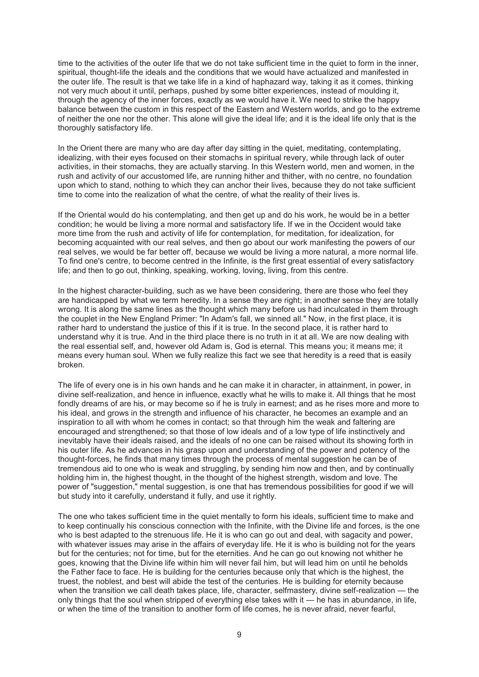time to the activities of the outer life that we do not take sufficient time in the quiet to form in the inner, spiritual, thought-life the ideals and the conditions that we would have actualized and manifested in the outer life. The result is that we take life in a kind of haphazard way, taking it as it comes, thinking not very much about it until, perhaps, pushed by some bitter experiences, instead of moulding it, through the agency of the inner forces, exactly as we would have it. We need to strike the happy balance between the custom in this respect of the Eastern and Western worlds, and go to the extreme of neither the one nor the other. This alone will give the ideal life; and it is the ideal life only that is the thoroughly satisfactory life.

In the Orient there are many who are day after day sitting in the quiet, meditating, contemplating, idealizing, with their eyes focused on their stomachs in spiritual revery, while through lack of outer activities, in their stomachs, they are actually starving. In this Western world, men and women, in the rush and activity of our accustomed life, are running hither and thither, with no centre, no foundation upon which to stand, nothing to which they can anchor their lives, because they do not take sufficient time to come into the realization of what the centre, of what the reality of their lives is.

If the Oriental would do his contemplating, and then get up and do his work, he would be in a better condition; he would be living a more normal and satisfactory life. If we in the Occident would take more time from the rush and activity of life for contemplation, for meditation, for idealization, for becoming acquainted with our real selves, and then go about our work manifesting the powers of our real selves, we would be far better off, because we would be living a more natural, a more normal life. To find one's centre, to become centred in the Infinite, is the first great essential of every satisfactory life; and then to go out, thinking, speaking, working, loving, living, from this centre.

In the highest character-building, such as we have been considering, there are those who feel they are handicapped by what we term heredity. In a sense they are right; in another sense they are totally wrong. It is along the same lines as the thought which many before us had inculcated in them through the couplet in the New England Primer: "In Adam's fall, we sinned all." Now, in the first place, it is rather hard to understand the justice of this if it is true. In the second place, it is rather hard to understand why it is true. And in the third place there is no truth in it at all. We are now dealing with the real essential self, and, however old Adam is, God is eternal. This means you; it means me; it means every human soul. When we fully realize this fact we see that heredity is a reed that is easily broken.

The life of every one is in his own hands and he can make it in character, in attainment, in power, in divine self-realization, and hence in influence, exactly what he wills to make it. All things that he most fondly dreams of are his, or may become so if he is truly in earnest; and as he rises more and more to his ideal, and grows in the strength and influence of his character, he becomes an example and an inspiration to all with whom he comes in contact; so that through him the weak and faltering are encouraged and strengthened; so that those of low ideals and of a low type of life instinctively and inevitably have their ideals raised, and the ideals of no one can be raised without its showing forth in his outer life. As he advances in his grasp upon and understanding of the power and potency of the thought-forces, he finds that many times through the process of mental suggestion he can be of tremendous aid to one who is weak and struggling, by sending him now and then, and by continually holding him in, the highest thought, in the thought of the highest strength, wisdom and love. The power of "suggestion," mental suggestion, is one that has tremendous possibilities for good if we will but study into it carefully, understand it fully, and use it rightly.

The one who takes sufficient time in the quiet mentally to form his ideals, sufficient time to make and to keep continually his conscious connection with the Infinite, with the Divine life and forces, is the one who is best adapted to the strenuous life. He it is who can go out and deal, with sagacity and power, with whatever issues may arise in the affairs of everyday life. He it is who is building not for the years but for the centuries; not for time, but for the eternities. And he can go out knowing not whither he goes, knowing that the Divine life within him will never fail him, but will lead him on until he beholds the Father face to face. He is building for the centuries because only that which is the highest, the truest, the noblest, and best will abide the test of the centuries. He is building for eternity because when the transition we call death takes place, life, character, selfmastery, divine self-realization — the only things that the soul when stripped of everything else takes with it — he has in abundance, in life, or when the time of the transition to another form of life comes, he is never afraid, never fearful,